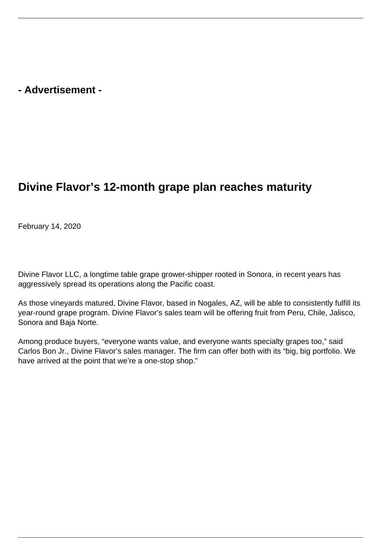## **- Advertisement -**

## **Divine Flavor's 12-month grape plan reaches maturity**

February 14, 2020

Divine Flavor LLC, a longtime table grape grower-shipper rooted in Sonora, in recent years has aggressively spread its operations along the Pacific coast.

As those vineyards matured, Divine Flavor, based in Nogales, AZ, will be able to consistently fulfill its year-round grape program. Divine Flavor's sales team will be offering fruit from Peru, Chile, Jalisco, Sonora and Baja Norte.

Among produce buyers, "everyone wants value, and everyone wants specialty grapes too," said Carlos Bon Jr., Divine Flavor's sales manager. The firm can offer both with its "big, big portfolio. We have arrived at the point that we're a one-stop shop."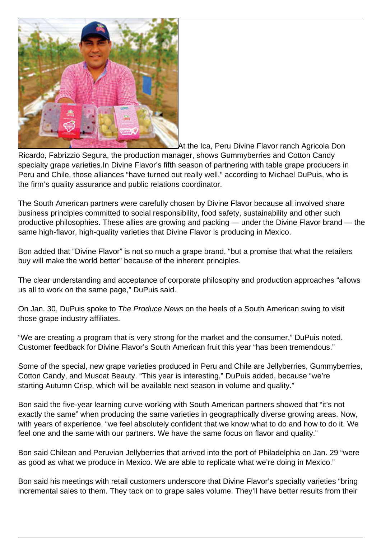

At the Ica, Peru Divine Flavor ranch Agricola Don

Ricardo, Fabrizzio Segura, the production manager, shows Gummyberries and Cotton Candy specialty grape varieties.In Divine Flavor's fifth season of partnering with table grape producers in Peru and Chile, those alliances "have turned out really well," according to Michael DuPuis, who is the firm's quality assurance and public relations coordinator.

The South American partners were carefully chosen by Divine Flavor because all involved share business principles committed to social responsibility, food safety, sustainability and other such productive philosophies. These allies are growing and packing — under the Divine Flavor brand — the same high-flavor, high-quality varieties that Divine Flavor is producing in Mexico.

Bon added that "Divine Flavor" is not so much a grape brand, "but a promise that what the retailers buy will make the world better" because of the inherent principles.

The clear understanding and acceptance of corporate philosophy and production approaches "allows us all to work on the same page," DuPuis said.

On Jan. 30, DuPuis spoke to The Produce News on the heels of a South American swing to visit those grape industry affiliates.

"We are creating a program that is very strong for the market and the consumer," DuPuis noted. Customer feedback for Divine Flavor's South American fruit this year "has been tremendous."

Some of the special, new grape varieties produced in Peru and Chile are Jellyberries, Gummyberries, Cotton Candy, and Muscat Beauty. "This year is interesting," DuPuis added, because "we're starting Autumn Crisp, which will be available next season in volume and quality."

Bon said the five-year learning curve working with South American partners showed that "it's not exactly the same" when producing the same varieties in geographically diverse growing areas. Now, with years of experience, "we feel absolutely confident that we know what to do and how to do it. We feel one and the same with our partners. We have the same focus on flavor and quality."

Bon said Chilean and Peruvian Jellyberries that arrived into the port of Philadelphia on Jan. 29 "were as good as what we produce in Mexico. We are able to replicate what we're doing in Mexico."

Bon said his meetings with retail customers underscore that Divine Flavor's specialty varieties "bring incremental sales to them. They tack on to grape sales volume. They'll have better results from their